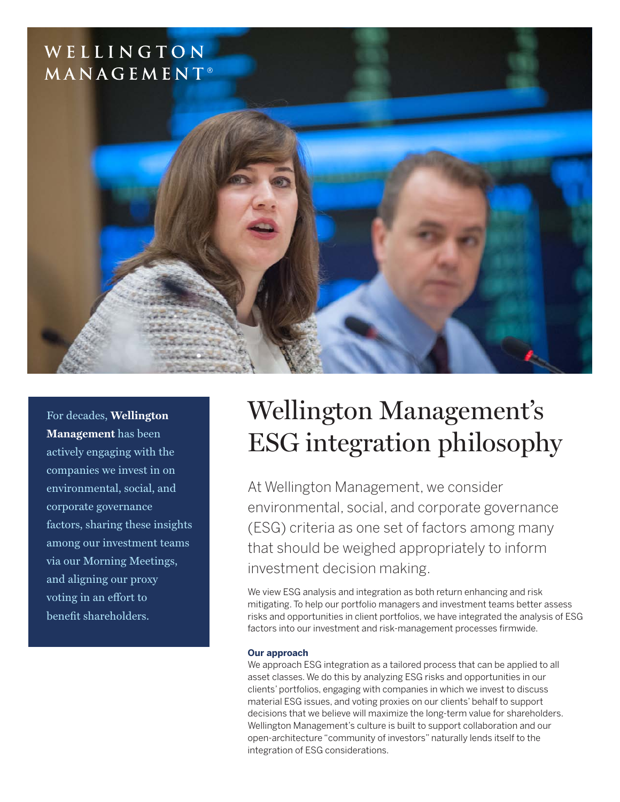## WELLINGTON MANAGEMENT®



For decades, **Wellington Management** has been actively engaging with the companies we invest in on environmental, social, and corporate governance factors, sharing these insights among our investment teams via our Morning Meetings, and aligning our proxy voting in an effort to benefit shareholders.

# Wellington Management's ESG integration philosophy

At Wellington Management, we consider environmental, social, and corporate governance (ESG) criteria as one set of factors among many that should be weighed appropriately to inform investment decision making.

We view ESG analysis and integration as both return enhancing and risk mitigating. To help our portfolio managers and investment teams better assess risks and opportunities in client portfolios, we have integrated the analysis of ESG factors into our investment and risk-management processes firmwide.

### **Our approach**

We approach ESG integration as a tailored process that can be applied to all asset classes. We do this by analyzing ESG risks and opportunities in our clients' portfolios, engaging with companies in which we invest to discuss material ESG issues, and voting proxies on our clients' behalf to support decisions that we believe will maximize the long-term value for shareholders. Wellington Management's culture is built to support collaboration and our open-architecture "community of investors" naturally lends itself to the integration of ESG considerations.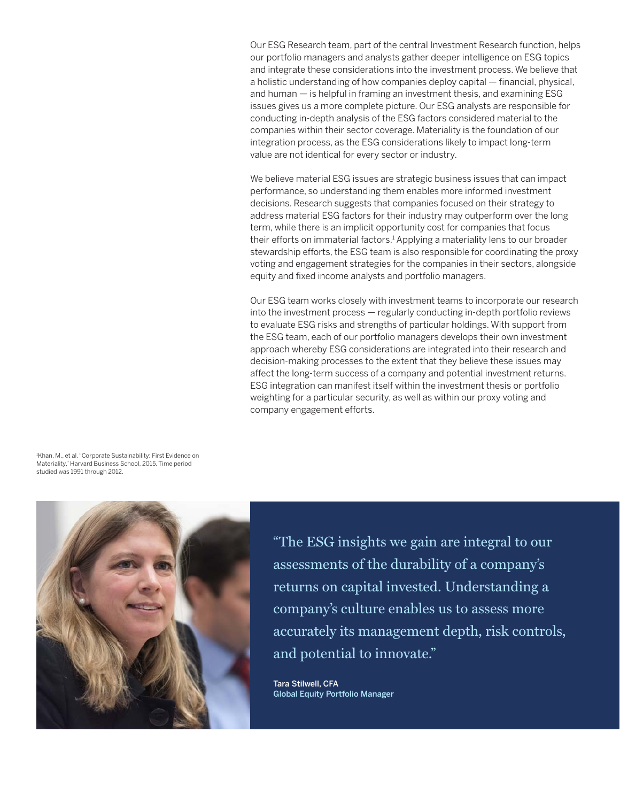Our ESG Research team, part of the central Investment Research function, helps our portfolio managers and analysts gather deeper intelligence on ESG topics and integrate these considerations into the investment process. We believe that a holistic understanding of how companies deploy capital — financial, physical, and human — is helpful in framing an investment thesis, and examining ESG issues gives us a more complete picture. Our ESG analysts are responsible for conducting in-depth analysis of the ESG factors considered material to the companies within their sector coverage. Materiality is the foundation of our integration process, as the ESG considerations likely to impact long-term value are not identical for every sector or industry.

We believe material ESG issues are strategic business issues that can impact performance, so understanding them enables more informed investment decisions. Research suggests that companies focused on their strategy to address material ESG factors for their industry may outperform over the long term, while there is an implicit opportunity cost for companies that focus their efforts on immaterial factors.<sup>1</sup> Applying a materiality lens to our broader stewardship efforts, the ESG team is also responsible for coordinating the proxy voting and engagement strategies for the companies in their sectors, alongside equity and fixed income analysts and portfolio managers.

Our ESG team works closely with investment teams to incorporate our research into the investment process — regularly conducting in-depth portfolio reviews to evaluate ESG risks and strengths of particular holdings. With support from the ESG team, each of our portfolio managers develops their own investment approach whereby ESG considerations are integrated into their research and decision-making processes to the extent that they believe these issues may affect the long-term success of a company and potential investment returns. ESG integration can manifest itself within the investment thesis or portfolio weighting for a particular security, as well as within our proxy voting and company engagement efforts.

1 Khan, M., et al. "Corporate Sustainability: First Evidence on Materiality," Harvard Business School, 2015. Time period studied was 1991 through 2012.



"The ESG insights we gain are integral to our assessments of the durability of a company's returns on capital invested. Understanding a company's culture enables us to assess more accurately its management depth, risk controls, and potential to innovate."

Tara Stilwell, CFA Global Equity Portfolio Manager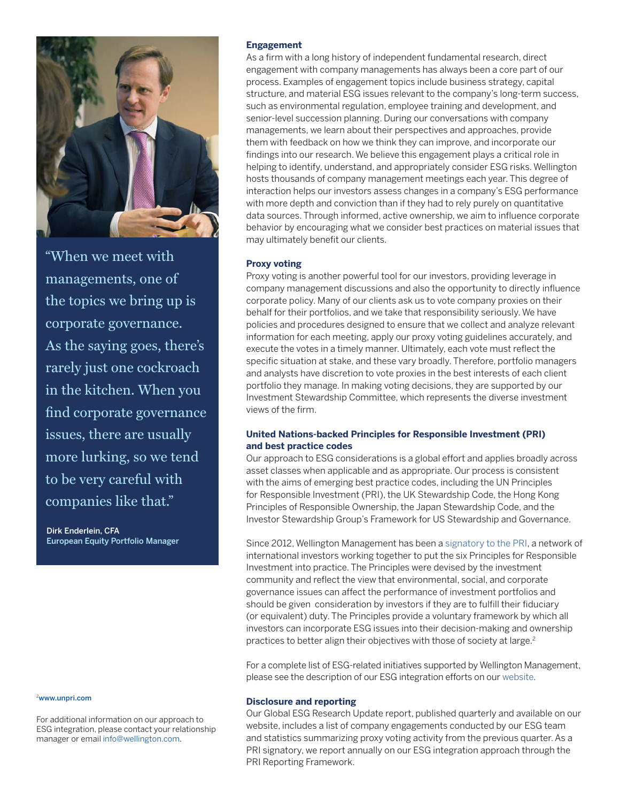

"When we meet with managements, one of the topics we bring up is corporate governance. As the saying goes, there's rarely just one cockroach in the kitchen. When you find corporate governance issues, there are usually more lurking, so we tend to be very careful with companies like that."

Dirk Enderlein, CFA European Equity Portfolio Manager

#### <sup>2</sup>[www.unpri.com](http://www.unpri.com)

For additional information on our approach to ESG integration, please contact your relationship manager or email [info@wellington.com.](mailto:info%40wellington.com?subject=Please%20provide%20more%20information%20about%20Wellington%27s%20ESG%20integration%20practices)

#### **Engagement**

As a firm with a long history of independent fundamental research, direct engagement with company managements has always been a core part of our process. Examples of engagement topics include business strategy, capital structure, and material ESG issues relevant to the company's long-term success, such as environmental regulation, employee training and development, and senior-level succession planning. During our conversations with company managements, we learn about their perspectives and approaches, provide them with feedback on how we think they can improve, and incorporate our findings into our research. We believe this engagement plays a critical role in helping to identify, understand, and appropriately consider ESG risks. Wellington hosts thousands of company management meetings each year. This degree of interaction helps our investors assess changes in a company's ESG performance with more depth and conviction than if they had to rely purely on quantitative data sources. Through informed, active ownership, we aim to influence corporate behavior by encouraging what we consider best practices on material issues that may ultimately benefit our clients.

#### **Proxy voting**

Proxy voting is another powerful tool for our investors, providing leverage in company management discussions and also the opportunity to directly influence corporate policy. Many of our clients ask us to vote company proxies on their behalf for their portfolios, and we take that responsibility seriously. We have policies and procedures designed to ensure that we collect and analyze relevant information for each meeting, apply our proxy voting guidelines accurately, and execute the votes in a timely manner. Ultimately, each vote must reflect the specific situation at stake, and these vary broadly. Therefore, portfolio managers and analysts have discretion to vote proxies in the best interests of each client portfolio they manage. In making voting decisions, they are supported by our Investment Stewardship Committee, which represents the diverse investment views of the firm.

#### **United Nations-backed Principles for Responsible Investment (PRI) and best practice codes**

Our approach to ESG considerations is a global effort and applies broadly across asset classes when applicable and as appropriate. Our process is consistent with the aims of emerging best practice codes, including the UN Principles for Responsible Investment (PRI), the UK Stewardship Code, the Hong Kong Principles of Responsible Ownership, the Japan Stewardship Code, and the Investor Stewardship Group's Framework for US Stewardship and Governance.

Since 2012, Wellington Management has been a [signatory to the PRI,](https://www.wellington.com/en/un-principles-responsible-investment) a network of international investors working together to put the six Principles for Responsible Investment into practice. The Principles were devised by the investment community and reflect the view that environmental, social, and corporate governance issues can affect the performance of investment portfolios and should be given consideration by investors if they are to fulfill their fiduciary (or equivalent) duty. The Principles provide a voluntary framework by which all investors can incorporate ESG issues into their decision-making and ownership practices to better align their objectives with those of society at large.<sup>2</sup>

For a complete list of ESG-related initiatives supported by Wellington Management, please see the description of our ESG integration efforts on our [website](https://www.wellington.com/en/esg-integration).

#### **Disclosure and reporting**

Our Global ESG Research Update report, published quarterly and available on our website, includes a list of company engagements conducted by our ESG team and statistics summarizing proxy voting activity from the previous quarter. As a PRI signatory, we report annually on our ESG integration approach through the PRI Reporting Framework.